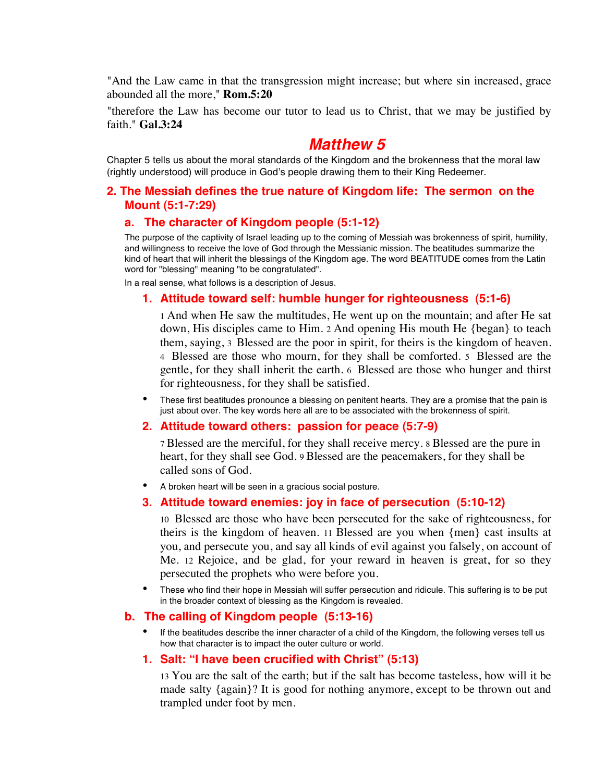"And the Law came in that the transgression might increase; but where sin increased, grace abounded all the more," **Rom.5:20**

"therefore the Law has become our tutor to lead us to Christ, that we may be justified by faith." **Gal.3:24**

# *Matthew 5*

Chapter 5 tells us about the moral standards of the Kingdom and the brokenness that the moral law (rightly understood) will produce in God's people drawing them to their King Redeemer.

# **2. The Messiah defines the true nature of Kingdom life: The sermon on the Mount (5:1-7:29)**

# **a. The character of Kingdom people (5:1-12)**

The purpose of the captivity of Israel leading up to the coming of Messiah was brokenness of spirit, humility, and willingness to receive the love of God through the Messianic mission. The beatitudes summarize the kind of heart that will inherit the blessings of the Kingdom age. The word BEATITUDE comes from the Latin word for "blessing" meaning "to be congratulated".

In a real sense, what follows is a description of Jesus.

# **1. Attitude toward self: humble hunger for righteousness (5:1-6)**

1 And when He saw the multitudes, He went up on the mountain; and after He sat down, His disciples came to Him. 2 And opening His mouth He {began} to teach them, saying, 3 Blessed are the poor in spirit, for theirs is the kingdom of heaven. 4 Blessed are those who mourn, for they shall be comforted. 5 Blessed are the gentle, for they shall inherit the earth. 6 Blessed are those who hunger and thirst for righteousness, for they shall be satisfied.

These first beatitudes pronounce a blessing on penitent hearts. They are a promise that the pain is just about over. The key words here all are to be associated with the brokenness of spirit.

## **2. Attitude toward others: passion for peace (5:7-9)**

7 Blessed are the merciful, for they shall receive mercy. 8 Blessed are the pure in heart, for they shall see God. 9 Blessed are the peacemakers, for they shall be called sons of God.

• A broken heart will be seen in a gracious social posture.

#### **3. Attitude toward enemies: joy in face of persecution (5:10-12)**

10 Blessed are those who have been persecuted for the sake of righteousness, for theirs is the kingdom of heaven. 11 Blessed are you when {men} cast insults at you, and persecute you, and say all kinds of evil against you falsely, on account of Me. 12 Rejoice, and be glad, for your reward in heaven is great, for so they persecuted the prophets who were before you.

• These who find their hope in Messiah will suffer persecution and ridicule. This suffering is to be put in the broader context of blessing as the Kingdom is revealed.

#### **b. The calling of Kingdom people (5:13-16)**

• If the beatitudes describe the inner character of a child of the Kingdom, the following verses tell us how that character is to impact the outer culture or world.

#### **1. Salt: "I have been crucified with Christ" (5:13)**

13 You are the salt of the earth; but if the salt has become tasteless, how will it be made salty {again}? It is good for nothing anymore, except to be thrown out and trampled under foot by men.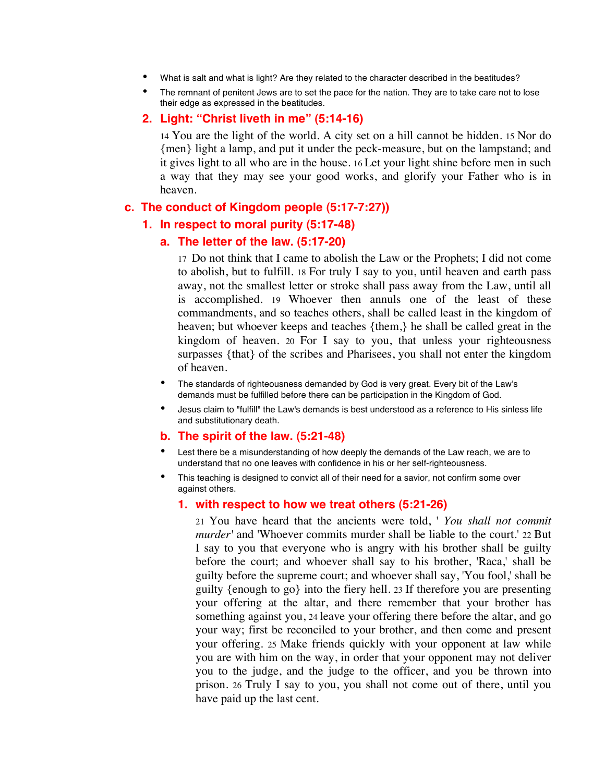- What is salt and what is light? Are they related to the character described in the beatitudes?
- The remnant of penitent Jews are to set the pace for the nation. They are to take care not to lose their edge as expressed in the beatitudes.

## **2. Light: "Christ liveth in me" (5:14-16)**

14 You are the light of the world. A city set on a hill cannot be hidden. 15 Nor do {men} light a lamp, and put it under the peck-measure, but on the lampstand; and it gives light to all who are in the house. 16 Let your light shine before men in such a way that they may see your good works, and glorify your Father who is in heaven.

## **c. The conduct of Kingdom people (5:17-7:27))**

## **1. In respect to moral purity (5:17-48)**

## **a. The letter of the law. (5:17-20)**

17 Do not think that I came to abolish the Law or the Prophets; I did not come to abolish, but to fulfill. 18 For truly I say to you, until heaven and earth pass away, not the smallest letter or stroke shall pass away from the Law, until all is accomplished. 19 Whoever then annuls one of the least of these commandments, and so teaches others, shall be called least in the kingdom of heaven; but whoever keeps and teaches {them,} he shall be called great in the kingdom of heaven. 20 For I say to you, that unless your righteousness surpasses {that} of the scribes and Pharisees, you shall not enter the kingdom of heaven.

- The standards of righteousness demanded by God is very great. Every bit of the Law's demands must be fulfilled before there can be participation in the Kingdom of God.
- Jesus claim to "fulfill" the Law's demands is best understood as a reference to His sinless life and substitutionary death.

# **b. The spirit of the law. (5:21-48)**

- Lest there be a misunderstanding of how deeply the demands of the Law reach, we are to understand that no one leaves with confidence in his or her self-righteousness.
- This teaching is designed to convict all of their need for a savior, not confirm some over against others.

# **1. with respect to how we treat others (5:21-26)**

21 You have heard that the ancients were told, ' *You shall not commit murder'* and 'Whoever commits murder shall be liable to the court.' 22 But I say to you that everyone who is angry with his brother shall be guilty before the court; and whoever shall say to his brother, 'Raca,' shall be guilty before the supreme court; and whoever shall say, 'You fool,' shall be guilty {enough to go} into the fiery hell. 23 If therefore you are presenting your offering at the altar, and there remember that your brother has something against you, 24 leave your offering there before the altar, and go your way; first be reconciled to your brother, and then come and present your offering. 25 Make friends quickly with your opponent at law while you are with him on the way, in order that your opponent may not deliver you to the judge, and the judge to the officer, and you be thrown into prison. 26 Truly I say to you, you shall not come out of there, until you have paid up the last cent.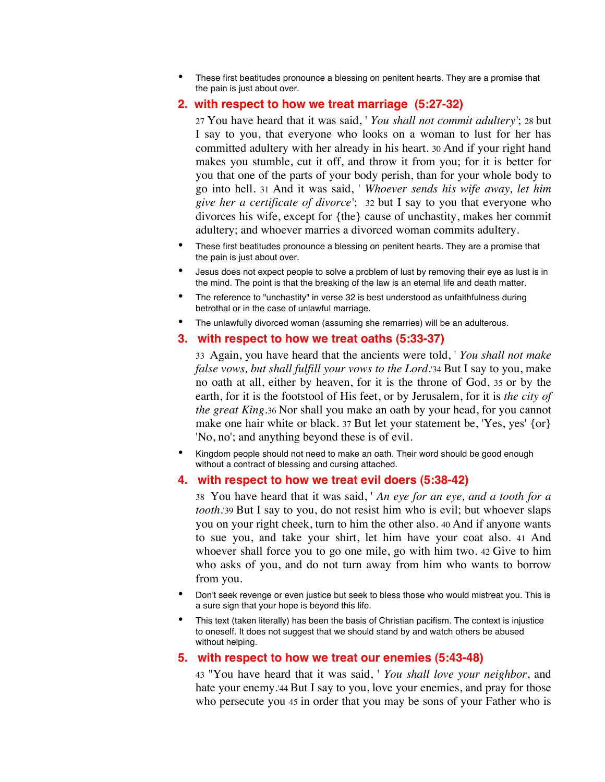• These first beatitudes pronounce a blessing on penitent hearts. They are a promise that the pain is just about over.

## **2. with respect to how we treat marriage (5:27-32)**

27 You have heard that it was said, ' *You shall not commit adultery'*; 28 but I say to you, that everyone who looks on a woman to lust for her has committed adultery with her already in his heart. 30 And if your right hand makes you stumble, cut it off, and throw it from you; for it is better for you that one of the parts of your body perish, than for your whole body to go into hell. 31 And it was said, ' *Whoever sends his wife away, let him give her a certificate of divorce'*; 32 but I say to you that everyone who divorces his wife, except for {the} cause of unchastity, makes her commit adultery; and whoever marries a divorced woman commits adultery.

- These first beatitudes pronounce a blessing on penitent hearts. They are a promise that the pain is just about over.
- Jesus does not expect people to solve a problem of lust by removing their eye as lust is in the mind. The point is that the breaking of the law is an eternal life and death matter.
- The reference to "unchastity" in verse 32 is best understood as unfaithfulness during betrothal or in the case of unlawful marriage.
- The unlawfully divorced woman (assuming she remarries) will be an adulterous.

#### **3. with respect to how we treat oaths (5:33-37)**

33 Again, you have heard that the ancients were told, ' *You shall not make false vows, but shall fulfill your vows to the Lord.*'34 But I say to you, make no oath at all, either by heaven, for it is the throne of God, 35 or by the earth, for it is the footstool of His feet, or by Jerusalem, for it is *the city of the great King*.36 Nor shall you make an oath by your head, for you cannot make one hair white or black. 37 But let your statement be, 'Yes, yes' {or} 'No, no'; and anything beyond these is of evil.

• Kingdom people should not need to make an oath. Their word should be good enough without a contract of blessing and cursing attached.

#### **4. with respect to how we treat evil doers (5:38-42)**

38 You have heard that it was said, ' *An eye for an eye, and a tooth for a tooth.*'39 But I say to you, do not resist him who is evil; but whoever slaps you on your right cheek, turn to him the other also. 40 And if anyone wants to sue you, and take your shirt, let him have your coat also. 41 And whoever shall force you to go one mile, go with him two. 42 Give to him who asks of you, and do not turn away from him who wants to borrow from you.

- Don't seek revenge or even justice but seek to bless those who would mistreat you. This is a sure sign that your hope is beyond this life.
- This text (taken literally) has been the basis of Christian pacifism. The context is injustice to oneself. It does not suggest that we should stand by and watch others be abused without helping.

#### **5. with respect to how we treat our enemies (5:43-48)**

43 "You have heard that it was said, ' *You shall love your neighbor*, and hate your enemy.'44 But I say to you, love your enemies, and pray for those who persecute you 45 in order that you may be sons of your Father who is